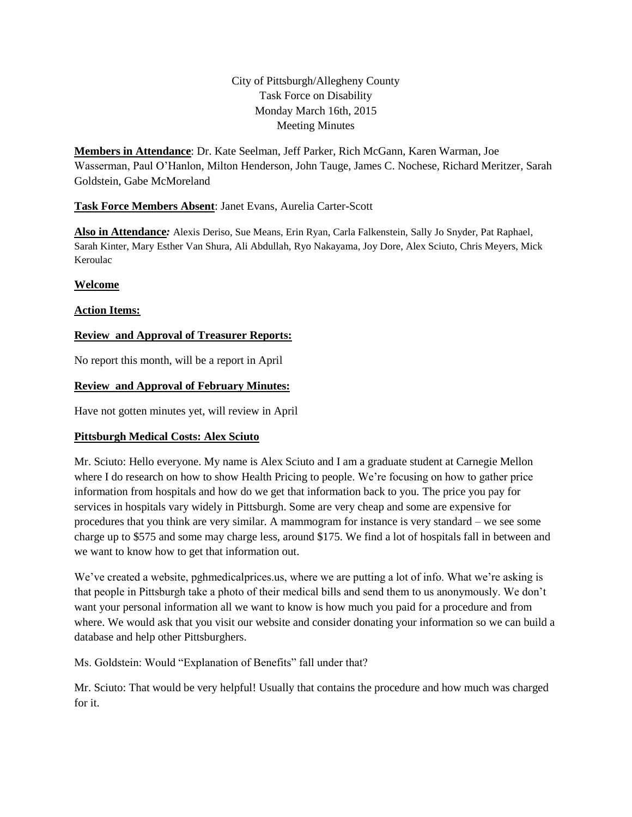# City of Pittsburgh/Allegheny County Task Force on Disability Monday March 16th, 2015 Meeting Minutes

**Members in Attendance**: Dr. Kate Seelman, Jeff Parker, Rich McGann, Karen Warman, Joe Wasserman, Paul O'Hanlon, Milton Henderson, John Tauge, James C. Nochese, Richard Meritzer, Sarah Goldstein, Gabe McMoreland

# **Task Force Members Absent**: Janet Evans, Aurelia Carter-Scott

**Also in Attendance***:* Alexis Deriso, Sue Means, Erin Ryan, Carla Falkenstein, Sally Jo Snyder, Pat Raphael, Sarah Kinter, Mary Esther Van Shura, Ali Abdullah, Ryo Nakayama, Joy Dore, Alex Sciuto, Chris Meyers, Mick Keroulac

## **Welcome**

## **Action Items:**

# **Review and Approval of Treasurer Reports:**

No report this month, will be a report in April

## **Review and Approval of February Minutes:**

Have not gotten minutes yet, will review in April

## **Pittsburgh Medical Costs: Alex Sciuto**

Mr. Sciuto: Hello everyone. My name is Alex Sciuto and I am a graduate student at Carnegie Mellon where I do research on how to show Health Pricing to people. We're focusing on how to gather price information from hospitals and how do we get that information back to you. The price you pay for services in hospitals vary widely in Pittsburgh. Some are very cheap and some are expensive for procedures that you think are very similar. A mammogram for instance is very standard – we see some charge up to \$575 and some may charge less, around \$175. We find a lot of hospitals fall in between and we want to know how to get that information out.

We've created a website, pghmedicalprices.us, where we are putting a lot of info. What we're asking is that people in Pittsburgh take a photo of their medical bills and send them to us anonymously. We don't want your personal information all we want to know is how much you paid for a procedure and from where. We would ask that you visit our website and consider donating your information so we can build a database and help other Pittsburghers.

Ms. Goldstein: Would "Explanation of Benefits" fall under that?

Mr. Sciuto: That would be very helpful! Usually that contains the procedure and how much was charged for it.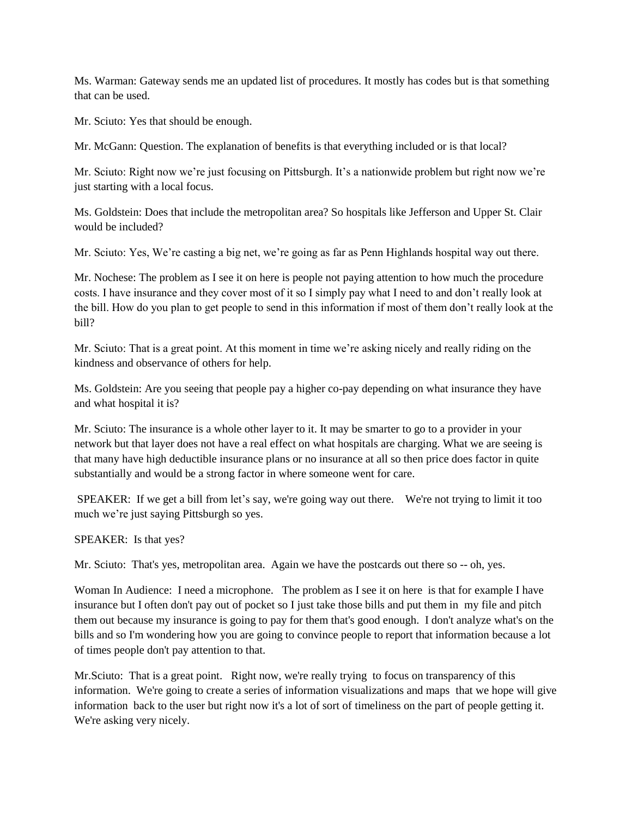Ms. Warman: Gateway sends me an updated list of procedures. It mostly has codes but is that something that can be used.

Mr. Sciuto: Yes that should be enough.

Mr. McGann: Question. The explanation of benefits is that everything included or is that local?

Mr. Sciuto: Right now we're just focusing on Pittsburgh. It's a nationwide problem but right now we're just starting with a local focus.

Ms. Goldstein: Does that include the metropolitan area? So hospitals like Jefferson and Upper St. Clair would be included?

Mr. Sciuto: Yes, We're casting a big net, we're going as far as Penn Highlands hospital way out there.

Mr. Nochese: The problem as I see it on here is people not paying attention to how much the procedure costs. I have insurance and they cover most of it so I simply pay what I need to and don't really look at the bill. How do you plan to get people to send in this information if most of them don't really look at the bill?

Mr. Sciuto: That is a great point. At this moment in time we're asking nicely and really riding on the kindness and observance of others for help.

Ms. Goldstein: Are you seeing that people pay a higher co-pay depending on what insurance they have and what hospital it is?

Mr. Sciuto: The insurance is a whole other layer to it. It may be smarter to go to a provider in your network but that layer does not have a real effect on what hospitals are charging. What we are seeing is that many have high deductible insurance plans or no insurance at all so then price does factor in quite substantially and would be a strong factor in where someone went for care.

SPEAKER: If we get a bill from let's say, we're going way out there. We're not trying to limit it too much we're just saying Pittsburgh so yes.

SPEAKER: Is that yes?

Mr. Sciuto: That's yes, metropolitan area. Again we have the postcards out there so -- oh, yes.

Woman In Audience: I need a microphone. The problem as I see it on here is that for example I have insurance but I often don't pay out of pocket so I just take those bills and put them in my file and pitch them out because my insurance is going to pay for them that's good enough. I don't analyze what's on the bills and so I'm wondering how you are going to convince people to report that information because a lot of times people don't pay attention to that.

Mr. Sciuto: That is a great point. Right now, we're really trying to focus on transparency of this information. We're going to create a series of information visualizations and maps that we hope will give information back to the user but right now it's a lot of sort of timeliness on the part of people getting it. We're asking very nicely.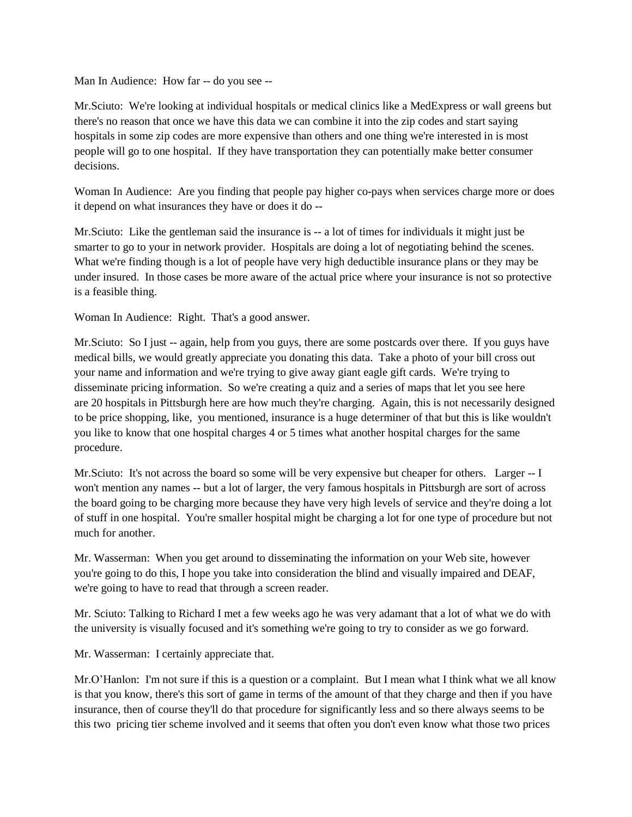Man In Audience: How far -- do you see --

Mr.Sciuto: We're looking at individual hospitals or medical clinics like a MedExpress or wall greens but there's no reason that once we have this data we can combine it into the zip codes and start saying hospitals in some zip codes are more expensive than others and one thing we're interested in is most people will go to one hospital. If they have transportation they can potentially make better consumer decisions.

Woman In Audience: Are you finding that people pay higher co-pays when services charge more or does it depend on what insurances they have or does it do --

Mr.Sciuto: Like the gentleman said the insurance is -- a lot of times for individuals it might just be smarter to go to your in network provider. Hospitals are doing a lot of negotiating behind the scenes. What we're finding though is a lot of people have very high deductible insurance plans or they may be under insured. In those cases be more aware of the actual price where your insurance is not so protective is a feasible thing.

Woman In Audience: Right. That's a good answer.

Mr.Sciuto: So I just -- again, help from you guys, there are some postcards over there. If you guys have medical bills, we would greatly appreciate you donating this data. Take a photo of your bill cross out your name and information and we're trying to give away giant eagle gift cards. We're trying to disseminate pricing information. So we're creating a quiz and a series of maps that let you see here are 20 hospitals in Pittsburgh here are how much they're charging. Again, this is not necessarily designed to be price shopping, like, you mentioned, insurance is a huge determiner of that but this is like wouldn't you like to know that one hospital charges 4 or 5 times what another hospital charges for the same procedure.

Mr.Sciuto: It's not across the board so some will be very expensive but cheaper for others. Larger -- I won't mention any names -- but a lot of larger, the very famous hospitals in Pittsburgh are sort of across the board going to be charging more because they have very high levels of service and they're doing a lot of stuff in one hospital. You're smaller hospital might be charging a lot for one type of procedure but not much for another.

Mr. Wasserman: When you get around to disseminating the information on your Web site, however you're going to do this, I hope you take into consideration the blind and visually impaired and DEAF, we're going to have to read that through a screen reader.

Mr. Sciuto: Talking to Richard I met a few weeks ago he was very adamant that a lot of what we do with the university is visually focused and it's something we're going to try to consider as we go forward.

Mr. Wasserman: I certainly appreciate that.

Mr.O'Hanlon: I'm not sure if this is a question or a complaint. But I mean what I think what we all know is that you know, there's this sort of game in terms of the amount of that they charge and then if you have insurance, then of course they'll do that procedure for significantly less and so there always seems to be this two pricing tier scheme involved and it seems that often you don't even know what those two prices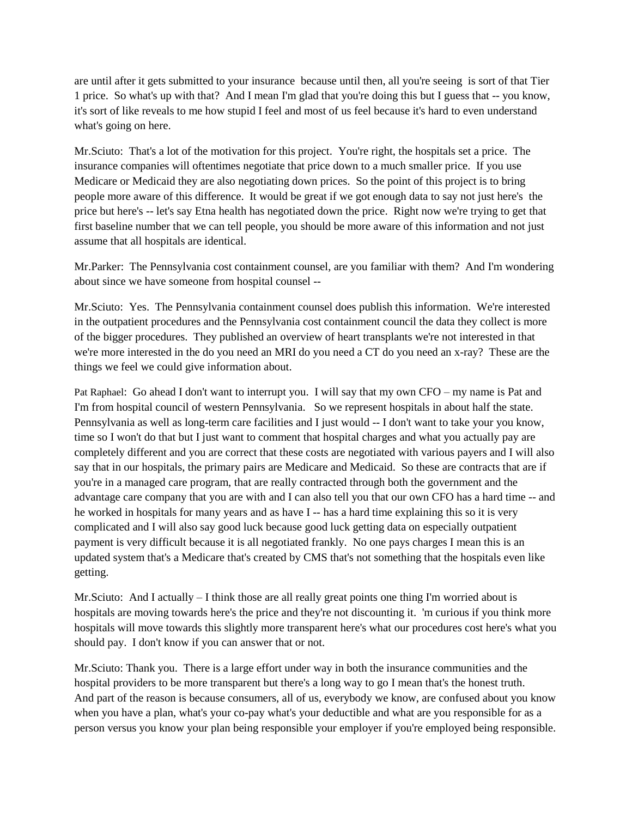are until after it gets submitted to your insurance because until then, all you're seeing is sort of that Tier 1 price. So what's up with that? And I mean I'm glad that you're doing this but I guess that -- you know, it's sort of like reveals to me how stupid I feel and most of us feel because it's hard to even understand what's going on here.

Mr. Sciuto: That's a lot of the motivation for this project. You're right, the hospitals set a price. The insurance companies will oftentimes negotiate that price down to a much smaller price. If you use Medicare or Medicaid they are also negotiating down prices. So the point of this project is to bring people more aware of this difference. It would be great if we got enough data to say not just here's the price but here's -- let's say Etna health has negotiated down the price. Right now we're trying to get that first baseline number that we can tell people, you should be more aware of this information and not just assume that all hospitals are identical.

Mr.Parker: The Pennsylvania cost containment counsel, are you familiar with them? And I'm wondering about since we have someone from hospital counsel --

Mr.Sciuto: Yes. The Pennsylvania containment counsel does publish this information. We're interested in the outpatient procedures and the Pennsylvania cost containment council the data they collect is more of the bigger procedures. They published an overview of heart transplants we're not interested in that we're more interested in the do you need an MRI do you need a CT do you need an x-ray? These are the things we feel we could give information about.

Pat Raphael: Go ahead I don't want to interrupt you. I will say that my own CFO – my name is Pat and I'm from hospital council of western Pennsylvania. So we represent hospitals in about half the state. Pennsylvania as well as long-term care facilities and I just would -- I don't want to take your you know, time so I won't do that but I just want to comment that hospital charges and what you actually pay are completely different and you are correct that these costs are negotiated with various payers and I will also say that in our hospitals, the primary pairs are Medicare and Medicaid. So these are contracts that are if you're in a managed care program, that are really contracted through both the government and the advantage care company that you are with and I can also tell you that our own CFO has a hard time -- and he worked in hospitals for many years and as have I -- has a hard time explaining this so it is very complicated and I will also say good luck because good luck getting data on especially outpatient payment is very difficult because it is all negotiated frankly. No one pays charges I mean this is an updated system that's a Medicare that's created by CMS that's not something that the hospitals even like getting.

Mr. Sciuto: And I actually  $-1$  think those are all really great points one thing I'm worried about is hospitals are moving towards here's the price and they're not discounting it. 'm curious if you think more hospitals will move towards this slightly more transparent here's what our procedures cost here's what you should pay. I don't know if you can answer that or not.

Mr.Sciuto: Thank you. There is a large effort under way in both the insurance communities and the hospital providers to be more transparent but there's a long way to go I mean that's the honest truth. And part of the reason is because consumers, all of us, everybody we know, are confused about you know when you have a plan, what's your co-pay what's your deductible and what are you responsible for as a person versus you know your plan being responsible your employer if you're employed being responsible.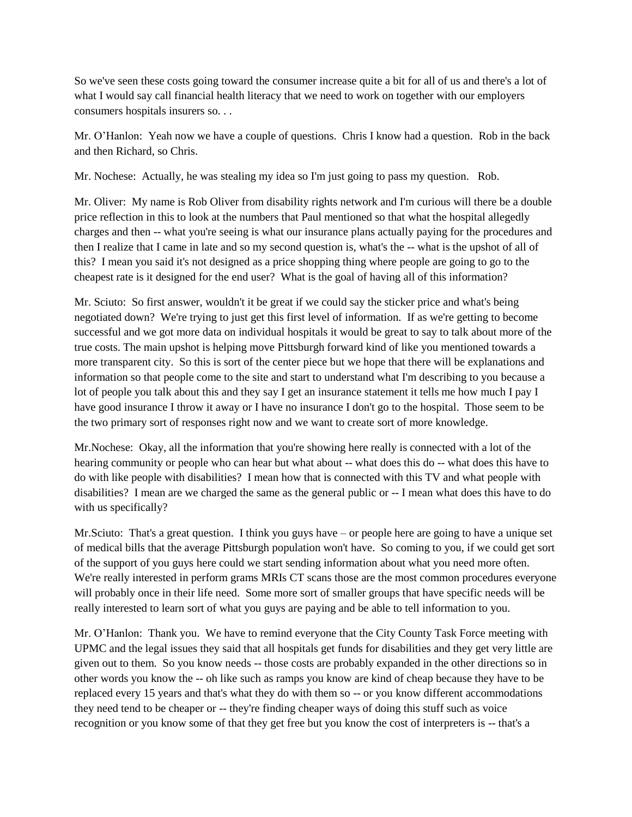So we've seen these costs going toward the consumer increase quite a bit for all of us and there's a lot of what I would say call financial health literacy that we need to work on together with our employers consumers hospitals insurers so. . .

Mr. O'Hanlon: Yeah now we have a couple of questions. Chris I know had a question. Rob in the back and then Richard, so Chris.

Mr. Nochese: Actually, he was stealing my idea so I'm just going to pass my question. Rob.

Mr. Oliver: My name is Rob Oliver from disability rights network and I'm curious will there be a double price reflection in this to look at the numbers that Paul mentioned so that what the hospital allegedly charges and then -- what you're seeing is what our insurance plans actually paying for the procedures and then I realize that I came in late and so my second question is, what's the -- what is the upshot of all of this? I mean you said it's not designed as a price shopping thing where people are going to go to the cheapest rate is it designed for the end user? What is the goal of having all of this information?

Mr. Sciuto: So first answer, wouldn't it be great if we could say the sticker price and what's being negotiated down? We're trying to just get this first level of information. If as we're getting to become successful and we got more data on individual hospitals it would be great to say to talk about more of the true costs. The main upshot is helping move Pittsburgh forward kind of like you mentioned towards a more transparent city. So this is sort of the center piece but we hope that there will be explanations and information so that people come to the site and start to understand what I'm describing to you because a lot of people you talk about this and they say I get an insurance statement it tells me how much I pay I have good insurance I throw it away or I have no insurance I don't go to the hospital. Those seem to be the two primary sort of responses right now and we want to create sort of more knowledge.

Mr. Nochese: Okay, all the information that you're showing here really is connected with a lot of the hearing community or people who can hear but what about -- what does this do -- what does this have to do with like people with disabilities? I mean how that is connected with this TV and what people with disabilities? I mean are we charged the same as the general public or -- I mean what does this have to do with us specifically?

Mr.Sciuto: That's a great question. I think you guys have – or people here are going to have a unique set of medical bills that the average Pittsburgh population won't have. So coming to you, if we could get sort of the support of you guys here could we start sending information about what you need more often. We're really interested in perform grams MRIs CT scans those are the most common procedures everyone will probably once in their life need. Some more sort of smaller groups that have specific needs will be really interested to learn sort of what you guys are paying and be able to tell information to you.

Mr. O'Hanlon: Thank you. We have to remind everyone that the City County Task Force meeting with UPMC and the legal issues they said that all hospitals get funds for disabilities and they get very little are given out to them. So you know needs -- those costs are probably expanded in the other directions so in other words you know the -- oh like such as ramps you know are kind of cheap because they have to be replaced every 15 years and that's what they do with them so -- or you know different accommodations they need tend to be cheaper or -- they're finding cheaper ways of doing this stuff such as voice recognition or you know some of that they get free but you know the cost of interpreters is -- that's a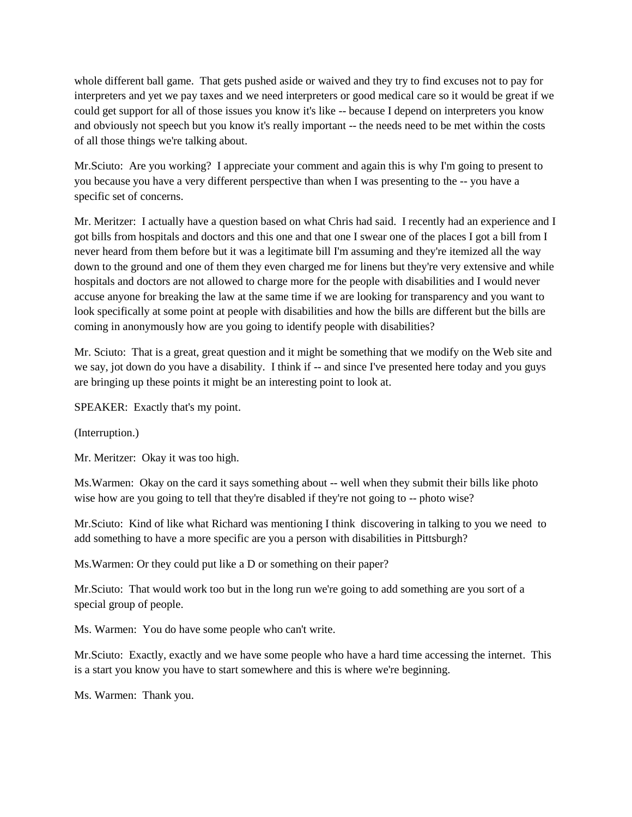whole different ball game. That gets pushed aside or waived and they try to find excuses not to pay for interpreters and yet we pay taxes and we need interpreters or good medical care so it would be great if we could get support for all of those issues you know it's like -- because I depend on interpreters you know and obviously not speech but you know it's really important -- the needs need to be met within the costs of all those things we're talking about.

Mr.Sciuto: Are you working? I appreciate your comment and again this is why I'm going to present to you because you have a very different perspective than when I was presenting to the -- you have a specific set of concerns.

Mr. Meritzer: I actually have a question based on what Chris had said. I recently had an experience and I got bills from hospitals and doctors and this one and that one I swear one of the places I got a bill from I never heard from them before but it was a legitimate bill I'm assuming and they're itemized all the way down to the ground and one of them they even charged me for linens but they're very extensive and while hospitals and doctors are not allowed to charge more for the people with disabilities and I would never accuse anyone for breaking the law at the same time if we are looking for transparency and you want to look specifically at some point at people with disabilities and how the bills are different but the bills are coming in anonymously how are you going to identify people with disabilities?

Mr. Sciuto: That is a great, great question and it might be something that we modify on the Web site and we say, jot down do you have a disability. I think if -- and since I've presented here today and you guys are bringing up these points it might be an interesting point to look at.

SPEAKER: Exactly that's my point.

(Interruption.)

Mr. Meritzer: Okay it was too high.

Ms.Warmen: Okay on the card it says something about -- well when they submit their bills like photo wise how are you going to tell that they're disabled if they're not going to -- photo wise?

Mr.Sciuto: Kind of like what Richard was mentioning I think discovering in talking to you we need to add something to have a more specific are you a person with disabilities in Pittsburgh?

Ms.Warmen: Or they could put like a D or something on their paper?

Mr.Sciuto: That would work too but in the long run we're going to add something are you sort of a special group of people.

Ms. Warmen: You do have some people who can't write.

Mr.Sciuto: Exactly, exactly and we have some people who have a hard time accessing the internet. This is a start you know you have to start somewhere and this is where we're beginning.

Ms. Warmen: Thank you.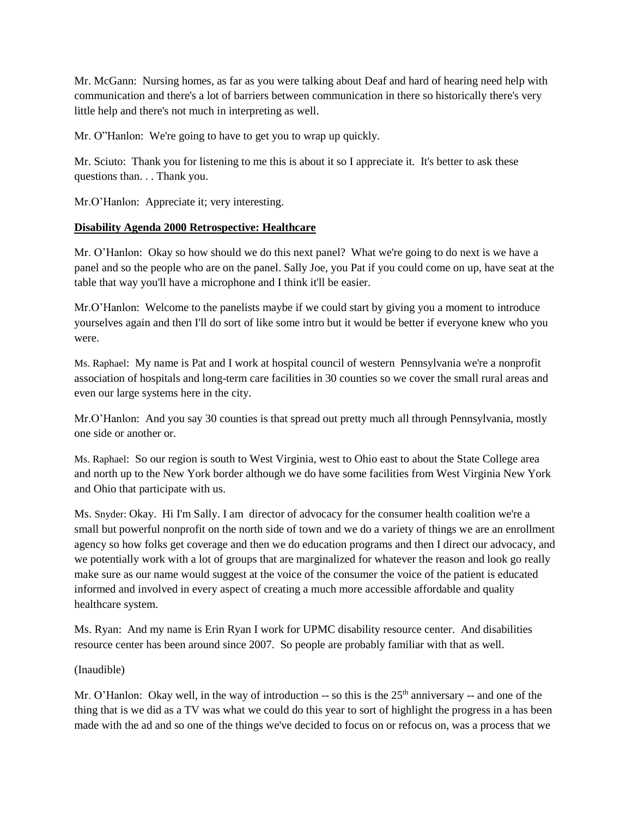Mr. McGann: Nursing homes, as far as you were talking about Deaf and hard of hearing need help with communication and there's a lot of barriers between communication in there so historically there's very little help and there's not much in interpreting as well.

Mr. O"Hanlon: We're going to have to get you to wrap up quickly.

Mr. Sciuto: Thank you for listening to me this is about it so I appreciate it. It's better to ask these questions than. . . Thank you.

Mr.O'Hanlon: Appreciate it; very interesting.

### **Disability Agenda 2000 Retrospective: Healthcare**

Mr. O'Hanlon: Okay so how should we do this next panel? What we're going to do next is we have a panel and so the people who are on the panel. Sally Joe, you Pat if you could come on up, have seat at the table that way you'll have a microphone and I think it'll be easier.

Mr.O'Hanlon: Welcome to the panelists maybe if we could start by giving you a moment to introduce yourselves again and then I'll do sort of like some intro but it would be better if everyone knew who you were.

Ms. Raphael: My name is Pat and I work at hospital council of western Pennsylvania we're a nonprofit association of hospitals and long-term care facilities in 30 counties so we cover the small rural areas and even our large systems here in the city.

Mr.O'Hanlon: And you say 30 counties is that spread out pretty much all through Pennsylvania, mostly one side or another or.

Ms. Raphael: So our region is south to West Virginia, west to Ohio east to about the State College area and north up to the New York border although we do have some facilities from West Virginia New York and Ohio that participate with us.

Ms. Snyder: Okay. Hi I'm Sally. I am director of advocacy for the consumer health coalition we're a small but powerful nonprofit on the north side of town and we do a variety of things we are an enrollment agency so how folks get coverage and then we do education programs and then I direct our advocacy, and we potentially work with a lot of groups that are marginalized for whatever the reason and look go really make sure as our name would suggest at the voice of the consumer the voice of the patient is educated informed and involved in every aspect of creating a much more accessible affordable and quality healthcare system.

Ms. Ryan: And my name is Erin Ryan I work for UPMC disability resource center. And disabilities resource center has been around since 2007. So people are probably familiar with that as well.

#### (Inaudible)

Mr. O'Hanlon: Okay well, in the way of introduction  $-$  so this is the  $25<sup>th</sup>$  anniversary  $-$  and one of the thing that is we did as a TV was what we could do this year to sort of highlight the progress in a has been made with the ad and so one of the things we've decided to focus on or refocus on, was a process that we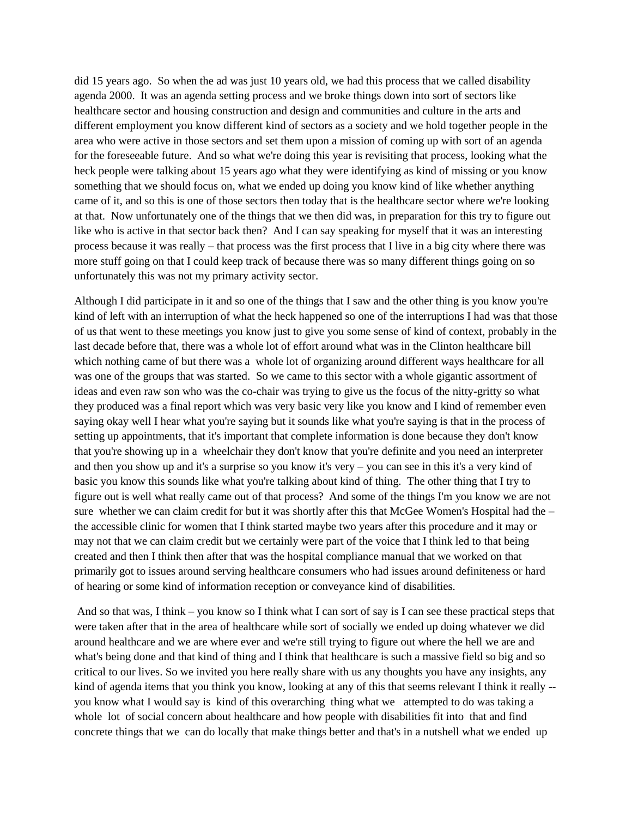did 15 years ago. So when the ad was just 10 years old, we had this process that we called disability agenda 2000. It was an agenda setting process and we broke things down into sort of sectors like healthcare sector and housing construction and design and communities and culture in the arts and different employment you know different kind of sectors as a society and we hold together people in the area who were active in those sectors and set them upon a mission of coming up with sort of an agenda for the foreseeable future. And so what we're doing this year is revisiting that process, looking what the heck people were talking about 15 years ago what they were identifying as kind of missing or you know something that we should focus on, what we ended up doing you know kind of like whether anything came of it, and so this is one of those sectors then today that is the healthcare sector where we're looking at that. Now unfortunately one of the things that we then did was, in preparation for this try to figure out like who is active in that sector back then? And I can say speaking for myself that it was an interesting process because it was really – that process was the first process that I live in a big city where there was more stuff going on that I could keep track of because there was so many different things going on so unfortunately this was not my primary activity sector.

Although I did participate in it and so one of the things that I saw and the other thing is you know you're kind of left with an interruption of what the heck happened so one of the interruptions I had was that those of us that went to these meetings you know just to give you some sense of kind of context, probably in the last decade before that, there was a whole lot of effort around what was in the Clinton healthcare bill which nothing came of but there was a whole lot of organizing around different ways healthcare for all was one of the groups that was started. So we came to this sector with a whole gigantic assortment of ideas and even raw son who was the co-chair was trying to give us the focus of the nitty-gritty so what they produced was a final report which was very basic very like you know and I kind of remember even saying okay well I hear what you're saying but it sounds like what you're saying is that in the process of setting up appointments, that it's important that complete information is done because they don't know that you're showing up in a wheelchair they don't know that you're definite and you need an interpreter and then you show up and it's a surprise so you know it's very – you can see in this it's a very kind of basic you know this sounds like what you're talking about kind of thing. The other thing that I try to figure out is well what really came out of that process? And some of the things I'm you know we are not sure whether we can claim credit for but it was shortly after this that McGee Women's Hospital had the – the accessible clinic for women that I think started maybe two years after this procedure and it may or may not that we can claim credit but we certainly were part of the voice that I think led to that being created and then I think then after that was the hospital compliance manual that we worked on that primarily got to issues around serving healthcare consumers who had issues around definiteness or hard of hearing or some kind of information reception or conveyance kind of disabilities.

And so that was, I think – you know so I think what I can sort of say is I can see these practical steps that were taken after that in the area of healthcare while sort of socially we ended up doing whatever we did around healthcare and we are where ever and we're still trying to figure out where the hell we are and what's being done and that kind of thing and I think that healthcare is such a massive field so big and so critical to our lives. So we invited you here really share with us any thoughts you have any insights, any kind of agenda items that you think you know, looking at any of this that seems relevant I think it really - you know what I would say is kind of this overarching thing what we attempted to do was taking a whole lot of social concern about healthcare and how people with disabilities fit into that and find concrete things that we can do locally that make things better and that's in a nutshell what we ended up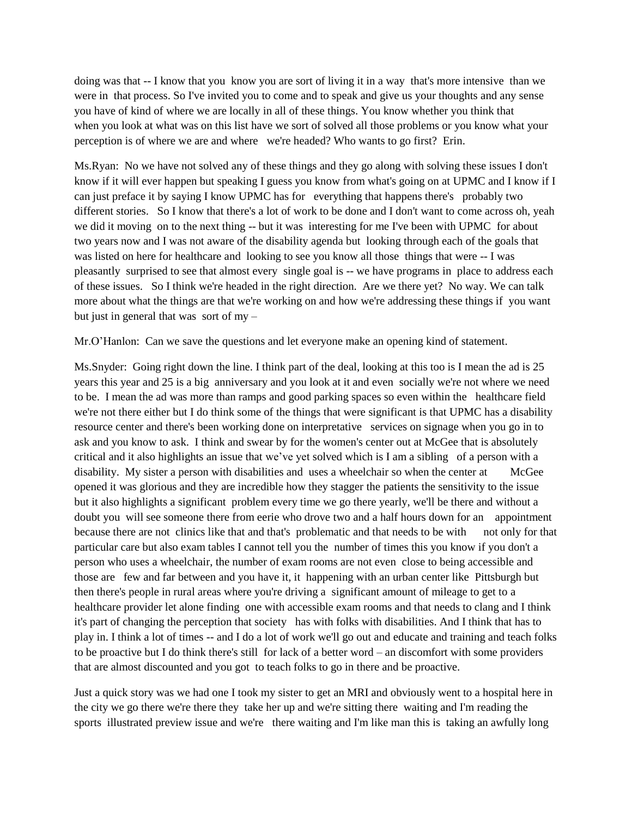doing was that -- I know that you know you are sort of living it in a way that's more intensive than we were in that process. So I've invited you to come and to speak and give us your thoughts and any sense you have of kind of where we are locally in all of these things. You know whether you think that when you look at what was on this list have we sort of solved all those problems or you know what your perception is of where we are and where we're headed? Who wants to go first? Erin.

Ms.Ryan: No we have not solved any of these things and they go along with solving these issues I don't know if it will ever happen but speaking I guess you know from what's going on at UPMC and I know if I can just preface it by saying I know UPMC has for everything that happens there's probably two different stories. So I know that there's a lot of work to be done and I don't want to come across oh, yeah we did it moving on to the next thing -- but it was interesting for me I've been with UPMC for about two years now and I was not aware of the disability agenda but looking through each of the goals that was listed on here for healthcare and looking to see you know all those things that were -- I was pleasantly surprised to see that almost every single goal is -- we have programs in place to address each of these issues. So I think we're headed in the right direction. Are we there yet? No way. We can talk more about what the things are that we're working on and how we're addressing these things if you want but just in general that was sort of my –

Mr.O'Hanlon: Can we save the questions and let everyone make an opening kind of statement.

Ms.Snyder: Going right down the line. I think part of the deal, looking at this too is I mean the ad is 25 years this year and 25 is a big anniversary and you look at it and even socially we're not where we need to be. I mean the ad was more than ramps and good parking spaces so even within the healthcare field we're not there either but I do think some of the things that were significant is that UPMC has a disability resource center and there's been working done on interpretative services on signage when you go in to ask and you know to ask. I think and swear by for the women's center out at McGee that is absolutely critical and it also highlights an issue that we've yet solved which is I am a sibling of a person with a disability. My sister a person with disabilities and uses a wheelchair so when the center at McGee opened it was glorious and they are incredible how they stagger the patients the sensitivity to the issue but it also highlights a significant problem every time we go there yearly, we'll be there and without a doubt you will see someone there from eerie who drove two and a half hours down for an appointment because there are not clinics like that and that's problematic and that needs to be with not only for that particular care but also exam tables I cannot tell you the number of times this you know if you don't a person who uses a wheelchair, the number of exam rooms are not even close to being accessible and those are few and far between and you have it, it happening with an urban center like Pittsburgh but then there's people in rural areas where you're driving a significant amount of mileage to get to a healthcare provider let alone finding one with accessible exam rooms and that needs to clang and I think it's part of changing the perception that society has with folks with disabilities. And I think that has to play in. I think a lot of times -- and I do a lot of work we'll go out and educate and training and teach folks to be proactive but I do think there's still for lack of a better word – an discomfort with some providers that are almost discounted and you got to teach folks to go in there and be proactive.

Just a quick story was we had one I took my sister to get an MRI and obviously went to a hospital here in the city we go there we're there they take her up and we're sitting there waiting and I'm reading the sports illustrated preview issue and we're there waiting and I'm like man this is taking an awfully long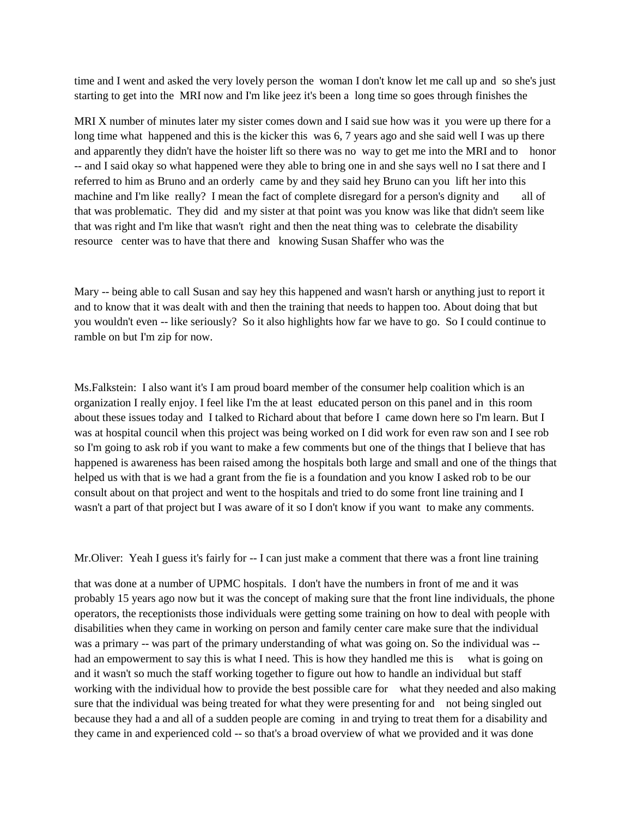time and I went and asked the very lovely person the woman I don't know let me call up and so she's just starting to get into the MRI now and I'm like jeez it's been a long time so goes through finishes the

MRI X number of minutes later my sister comes down and I said sue how was it you were up there for a long time what happened and this is the kicker this was 6, 7 years ago and she said well I was up there and apparently they didn't have the hoister lift so there was no way to get me into the MRI and to honor -- and I said okay so what happened were they able to bring one in and she says well no I sat there and I referred to him as Bruno and an orderly came by and they said hey Bruno can you lift her into this machine and I'm like really? I mean the fact of complete disregard for a person's dignity and all of that was problematic. They did and my sister at that point was you know was like that didn't seem like that was right and I'm like that wasn't right and then the neat thing was to celebrate the disability resource center was to have that there and knowing Susan Shaffer who was the

Mary -- being able to call Susan and say hey this happened and wasn't harsh or anything just to report it and to know that it was dealt with and then the training that needs to happen too. About doing that but you wouldn't even -- like seriously? So it also highlights how far we have to go. So I could continue to ramble on but I'm zip for now.

Ms.Falkstein: I also want it's I am proud board member of the consumer help coalition which is an organization I really enjoy. I feel like I'm the at least educated person on this panel and in this room about these issues today and I talked to Richard about that before I came down here so I'm learn. But I was at hospital council when this project was being worked on I did work for even raw son and I see rob so I'm going to ask rob if you want to make a few comments but one of the things that I believe that has happened is awareness has been raised among the hospitals both large and small and one of the things that helped us with that is we had a grant from the fie is a foundation and you know I asked rob to be our consult about on that project and went to the hospitals and tried to do some front line training and I wasn't a part of that project but I was aware of it so I don't know if you want to make any comments.

Mr.Oliver: Yeah I guess it's fairly for -- I can just make a comment that there was a front line training

that was done at a number of UPMC hospitals. I don't have the numbers in front of me and it was probably 15 years ago now but it was the concept of making sure that the front line individuals, the phone operators, the receptionists those individuals were getting some training on how to deal with people with disabilities when they came in working on person and family center care make sure that the individual was a primary -- was part of the primary understanding of what was going on. So the individual was - had an empowerment to say this is what I need. This is how they handled me this is what is going on and it wasn't so much the staff working together to figure out how to handle an individual but staff working with the individual how to provide the best possible care for what they needed and also making sure that the individual was being treated for what they were presenting for and not being singled out because they had a and all of a sudden people are coming in and trying to treat them for a disability and they came in and experienced cold -- so that's a broad overview of what we provided and it was done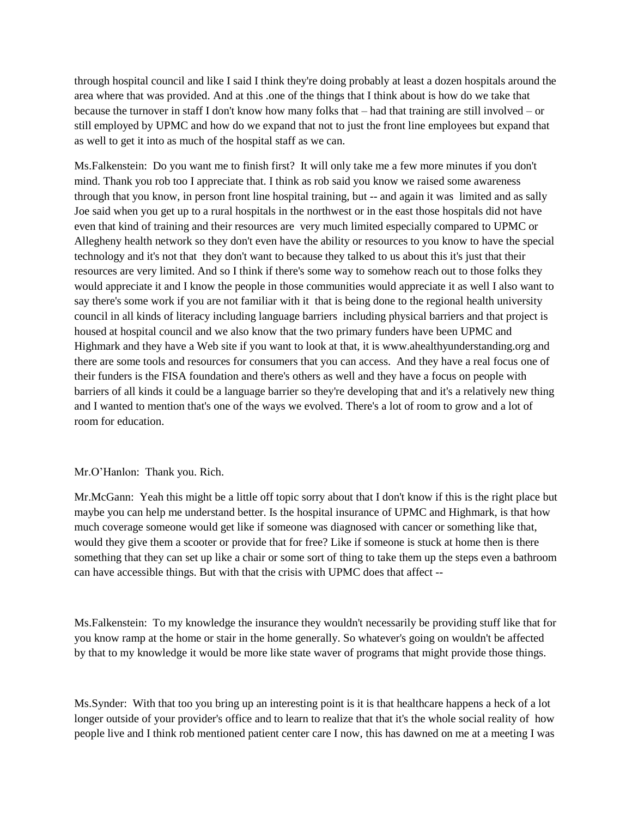through hospital council and like I said I think they're doing probably at least a dozen hospitals around the area where that was provided. And at this .one of the things that I think about is how do we take that because the turnover in staff I don't know how many folks that – had that training are still involved – or still employed by UPMC and how do we expand that not to just the front line employees but expand that as well to get it into as much of the hospital staff as we can.

Ms.Falkenstein: Do you want me to finish first? It will only take me a few more minutes if you don't mind. Thank you rob too I appreciate that. I think as rob said you know we raised some awareness through that you know, in person front line hospital training, but -- and again it was limited and as sally Joe said when you get up to a rural hospitals in the northwest or in the east those hospitals did not have even that kind of training and their resources are very much limited especially compared to UPMC or Allegheny health network so they don't even have the ability or resources to you know to have the special technology and it's not that they don't want to because they talked to us about this it's just that their resources are very limited. And so I think if there's some way to somehow reach out to those folks they would appreciate it and I know the people in those communities would appreciate it as well I also want to say there's some work if you are not familiar with it that is being done to the regional health university council in all kinds of literacy including language barriers including physical barriers and that project is housed at hospital council and we also know that the two primary funders have been UPMC and Highmark and they have a Web site if you want to look at that, it is www.ahealthyunderstanding.org and there are some tools and resources for consumers that you can access. And they have a real focus one of their funders is the FISA foundation and there's others as well and they have a focus on people with barriers of all kinds it could be a language barrier so they're developing that and it's a relatively new thing and I wanted to mention that's one of the ways we evolved. There's a lot of room to grow and a lot of room for education.

#### Mr.O'Hanlon: Thank you. Rich.

Mr.McGann: Yeah this might be a little off topic sorry about that I don't know if this is the right place but maybe you can help me understand better. Is the hospital insurance of UPMC and Highmark, is that how much coverage someone would get like if someone was diagnosed with cancer or something like that, would they give them a scooter or provide that for free? Like if someone is stuck at home then is there something that they can set up like a chair or some sort of thing to take them up the steps even a bathroom can have accessible things. But with that the crisis with UPMC does that affect --

Ms.Falkenstein: To my knowledge the insurance they wouldn't necessarily be providing stuff like that for you know ramp at the home or stair in the home generally. So whatever's going on wouldn't be affected by that to my knowledge it would be more like state waver of programs that might provide those things.

Ms.Synder: With that too you bring up an interesting point is it is that healthcare happens a heck of a lot longer outside of your provider's office and to learn to realize that that it's the whole social reality of how people live and I think rob mentioned patient center care I now, this has dawned on me at a meeting I was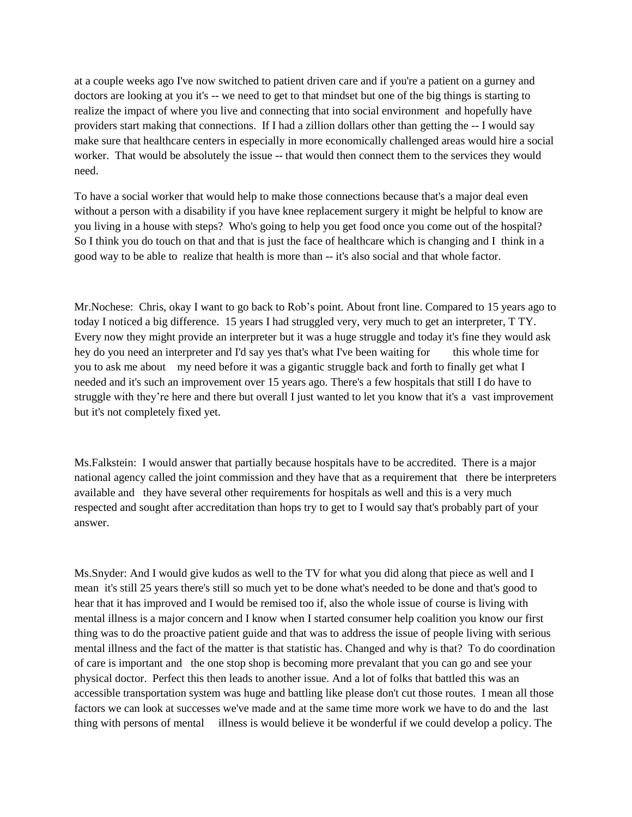at a couple weeks ago I've now switched to patient driven care and if you're a patient on a gurney and doctors are looking at you it's -- we need to get to that mindset but one of the big things is starting to realize the impact of where you live and connecting that into social environment and hopefully have providers start making that connections. If I had a zillion dollars other than getting the -- I would say make sure that healthcare centers in especially in more economically challenged areas would hire a social worker. That would be absolutely the issue -- that would then connect them to the services they would need.

To have a social worker that would help to make those connections because that's a major deal even without a person with a disability if you have knee replacement surgery it might be helpful to know are you living in a house with steps? Who's going to help you get food once you come out of the hospital? So I think you do touch on that and that is just the face of healthcare which is changing and I think in a good way to be able to realize that health is more than -- it's also social and that whole factor.

Mr.Nochese: Chris, okay I want to go back to Rob's point. About front line. Compared to 15 years ago to today I noticed a big difference. 15 years I had struggled very, very much to get an interpreter, T TY. Every now they might provide an interpreter but it was a huge struggle and today it's fine they would ask hey do you need an interpreter and I'd say yes that's what I've been waiting for this whole time for you to ask me about my need before it was a gigantic struggle back and forth to finally get what I needed and it's such an improvement over 15 years ago. There's a few hospitals that still I do have to struggle with they're here and there but overall I just wanted to let you know that it's a vast improvement but it's not completely fixed yet.

Ms.Falkstein: I would answer that partially because hospitals have to be accredited. There is a major national agency called the joint commission and they have that as a requirement that there be interpreters available and they have several other requirements for hospitals as well and this is a very much respected and sought after accreditation than hops try to get to I would say that's probably part of your answer.

Ms.Snyder: And I would give kudos as well to the TV for what you did along that piece as well and I mean it's still 25 years there's still so much yet to be done what's needed to be done and that's good to hear that it has improved and I would be remised too if, also the whole issue of course is living with mental illness is a major concern and I know when I started consumer help coalition you know our first thing was to do the proactive patient guide and that was to address the issue of people living with serious mental illness and the fact of the matter is that statistic has. Changed and why is that? To do coordination of care is important and the one stop shop is becoming more prevalant that you can go and see your physical doctor. Perfect this then leads to another issue. And a lot of folks that battled this was an accessible transportation system was huge and battling like please don't cut those routes. I mean all those factors we can look at successes we've made and at the same time more work we have to do and the last thing with persons of mental illness is would believe it be wonderful if we could develop a policy. The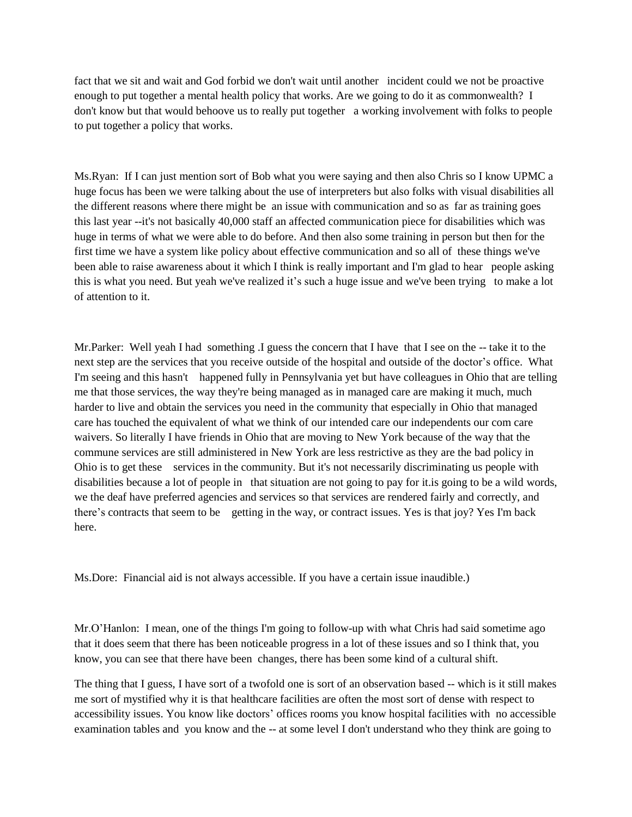fact that we sit and wait and God forbid we don't wait until another incident could we not be proactive enough to put together a mental health policy that works. Are we going to do it as commonwealth? I don't know but that would behoove us to really put together a working involvement with folks to people to put together a policy that works.

Ms.Ryan: If I can just mention sort of Bob what you were saying and then also Chris so I know UPMC a huge focus has been we were talking about the use of interpreters but also folks with visual disabilities all the different reasons where there might be an issue with communication and so as far as training goes this last year --it's not basically 40,000 staff an affected communication piece for disabilities which was huge in terms of what we were able to do before. And then also some training in person but then for the first time we have a system like policy about effective communication and so all of these things we've been able to raise awareness about it which I think is really important and I'm glad to hear people asking this is what you need. But yeah we've realized it's such a huge issue and we've been trying to make a lot of attention to it.

Mr.Parker: Well yeah I had something .I guess the concern that I have that I see on the -- take it to the next step are the services that you receive outside of the hospital and outside of the doctor's office. What I'm seeing and this hasn't happened fully in Pennsylvania yet but have colleagues in Ohio that are telling me that those services, the way they're being managed as in managed care are making it much, much harder to live and obtain the services you need in the community that especially in Ohio that managed care has touched the equivalent of what we think of our intended care our independents our com care waivers. So literally I have friends in Ohio that are moving to New York because of the way that the commune services are still administered in New York are less restrictive as they are the bad policy in Ohio is to get these services in the community. But it's not necessarily discriminating us people with disabilities because a lot of people in that situation are not going to pay for it.is going to be a wild words, we the deaf have preferred agencies and services so that services are rendered fairly and correctly, and there's contracts that seem to be getting in the way, or contract issues. Yes is that joy? Yes I'm back here.

Ms.Dore: Financial aid is not always accessible. If you have a certain issue inaudible.)

Mr.O'Hanlon: I mean, one of the things I'm going to follow-up with what Chris had said sometime ago that it does seem that there has been noticeable progress in a lot of these issues and so I think that, you know, you can see that there have been changes, there has been some kind of a cultural shift.

The thing that I guess, I have sort of a twofold one is sort of an observation based -- which is it still makes me sort of mystified why it is that healthcare facilities are often the most sort of dense with respect to accessibility issues. You know like doctors' offices rooms you know hospital facilities with no accessible examination tables and you know and the -- at some level I don't understand who they think are going to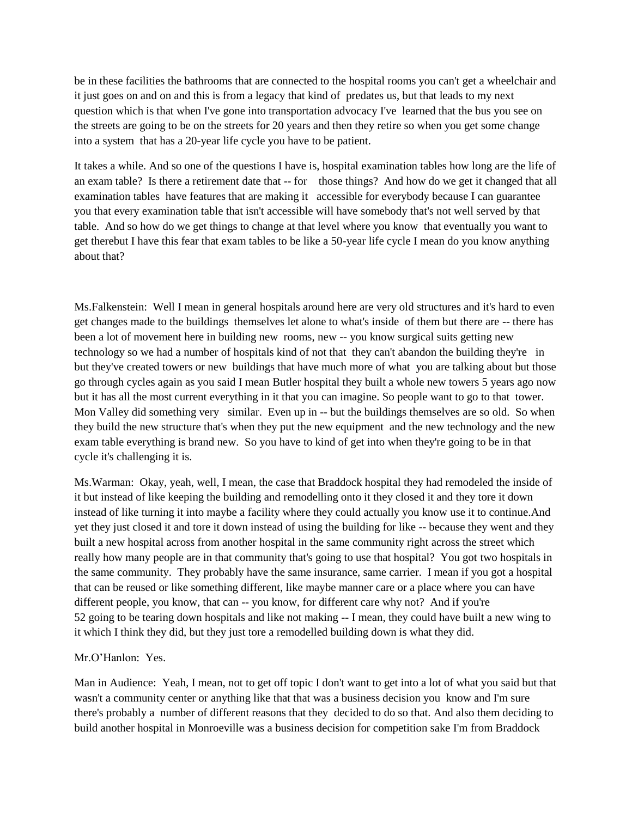be in these facilities the bathrooms that are connected to the hospital rooms you can't get a wheelchair and it just goes on and on and this is from a legacy that kind of predates us, but that leads to my next question which is that when I've gone into transportation advocacy I've learned that the bus you see on the streets are going to be on the streets for 20 years and then they retire so when you get some change into a system that has a 20-year life cycle you have to be patient.

It takes a while. And so one of the questions I have is, hospital examination tables how long are the life of an exam table? Is there a retirement date that -- for those things? And how do we get it changed that all examination tables have features that are making it accessible for everybody because I can guarantee you that every examination table that isn't accessible will have somebody that's not well served by that table. And so how do we get things to change at that level where you know that eventually you want to get therebut I have this fear that exam tables to be like a 50-year life cycle I mean do you know anything about that?

Ms.Falkenstein: Well I mean in general hospitals around here are very old structures and it's hard to even get changes made to the buildings themselves let alone to what's inside of them but there are -- there has been a lot of movement here in building new rooms, new -- you know surgical suits getting new technology so we had a number of hospitals kind of not that they can't abandon the building they're in but they've created towers or new buildings that have much more of what you are talking about but those go through cycles again as you said I mean Butler hospital they built a whole new towers 5 years ago now but it has all the most current everything in it that you can imagine. So people want to go to that tower. Mon Valley did something very similar. Even up in -- but the buildings themselves are so old. So when they build the new structure that's when they put the new equipment and the new technology and the new exam table everything is brand new. So you have to kind of get into when they're going to be in that cycle it's challenging it is.

Ms.Warman: Okay, yeah, well, I mean, the case that Braddock hospital they had remodeled the inside of it but instead of like keeping the building and remodelling onto it they closed it and they tore it down instead of like turning it into maybe a facility where they could actually you know use it to continue.And yet they just closed it and tore it down instead of using the building for like -- because they went and they built a new hospital across from another hospital in the same community right across the street which really how many people are in that community that's going to use that hospital? You got two hospitals in the same community. They probably have the same insurance, same carrier. I mean if you got a hospital that can be reused or like something different, like maybe manner care or a place where you can have different people, you know, that can -- you know, for different care why not? And if you're 52 going to be tearing down hospitals and like not making -- I mean, they could have built a new wing to it which I think they did, but they just tore a remodelled building down is what they did.

#### Mr.O'Hanlon: Yes.

Man in Audience: Yeah, I mean, not to get off topic I don't want to get into a lot of what you said but that wasn't a community center or anything like that that was a business decision you know and I'm sure there's probably a number of different reasons that they decided to do so that. And also them deciding to build another hospital in Monroeville was a business decision for competition sake I'm from Braddock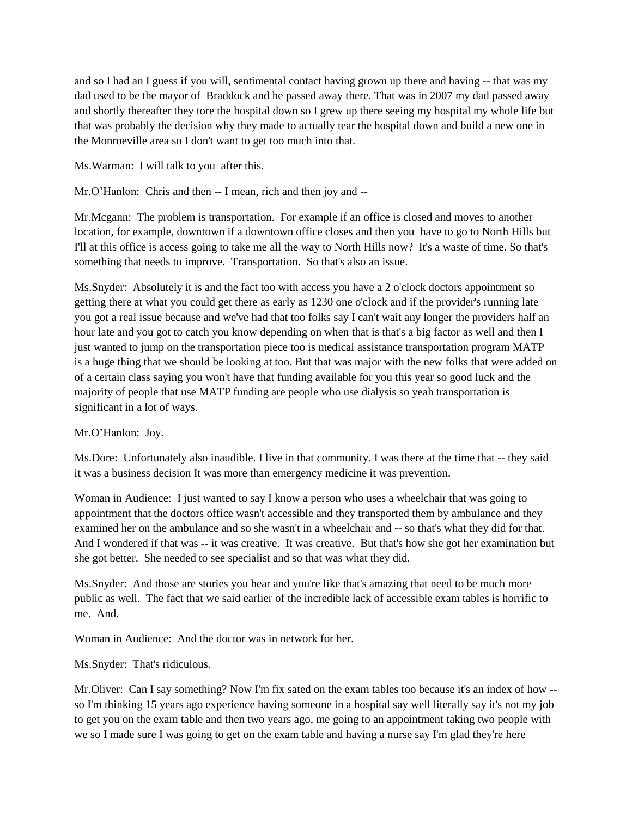and so I had an I guess if you will, sentimental contact having grown up there and having -- that was my dad used to be the mayor of Braddock and he passed away there. That was in 2007 my dad passed away and shortly thereafter they tore the hospital down so I grew up there seeing my hospital my whole life but that was probably the decision why they made to actually tear the hospital down and build a new one in the Monroeville area so I don't want to get too much into that.

Ms.Warman: I will talk to you after this.

Mr.O'Hanlon: Chris and then -- I mean, rich and then joy and --

Mr.Mcgann: The problem is transportation. For example if an office is closed and moves to another location, for example, downtown if a downtown office closes and then you have to go to North Hills but I'll at this office is access going to take me all the way to North Hills now? It's a waste of time. So that's something that needs to improve. Transportation. So that's also an issue.

Ms.Snyder: Absolutely it is and the fact too with access you have a 2 o'clock doctors appointment so getting there at what you could get there as early as 1230 one o'clock and if the provider's running late you got a real issue because and we've had that too folks say I can't wait any longer the providers half an hour late and you got to catch you know depending on when that is that's a big factor as well and then I just wanted to jump on the transportation piece too is medical assistance transportation program MATP is a huge thing that we should be looking at too. But that was major with the new folks that were added on of a certain class saying you won't have that funding available for you this year so good luck and the majority of people that use MATP funding are people who use dialysis so yeah transportation is significant in a lot of ways.

#### Mr.O'Hanlon: Joy.

Ms.Dore: Unfortunately also inaudible. I live in that community. I was there at the time that -- they said it was a business decision It was more than emergency medicine it was prevention.

Woman in Audience: I just wanted to say I know a person who uses a wheelchair that was going to appointment that the doctors office wasn't accessible and they transported them by ambulance and they examined her on the ambulance and so she wasn't in a wheelchair and -- so that's what they did for that. And I wondered if that was -- it was creative. It was creative. But that's how she got her examination but she got better. She needed to see specialist and so that was what they did.

Ms.Snyder: And those are stories you hear and you're like that's amazing that need to be much more public as well. The fact that we said earlier of the incredible lack of accessible exam tables is horrific to me. And.

Woman in Audience: And the doctor was in network for her.

Ms.Snyder: That's ridiculous.

Mr.Oliver: Can I say something? Now I'm fix sated on the exam tables too because it's an index of how - so I'm thinking 15 years ago experience having someone in a hospital say well literally say it's not my job to get you on the exam table and then two years ago, me going to an appointment taking two people with we so I made sure I was going to get on the exam table and having a nurse say I'm glad they're here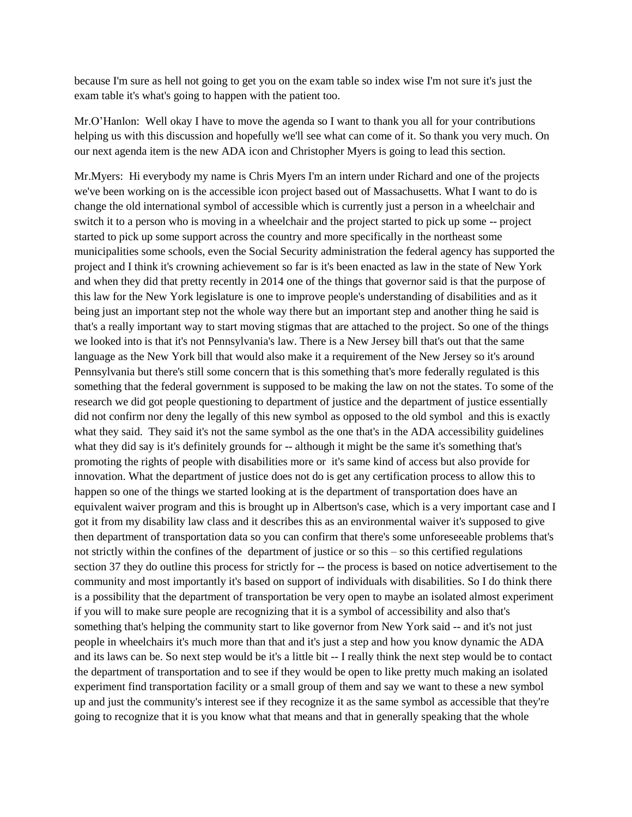because I'm sure as hell not going to get you on the exam table so index wise I'm not sure it's just the exam table it's what's going to happen with the patient too.

Mr.O'Hanlon: Well okay I have to move the agenda so I want to thank you all for your contributions helping us with this discussion and hopefully we'll see what can come of it. So thank you very much. On our next agenda item is the new ADA icon and Christopher Myers is going to lead this section.

Mr.Myers: Hi everybody my name is Chris Myers I'm an intern under Richard and one of the projects we've been working on is the accessible icon project based out of Massachusetts. What I want to do is change the old international symbol of accessible which is currently just a person in a wheelchair and switch it to a person who is moving in a wheelchair and the project started to pick up some -- project started to pick up some support across the country and more specifically in the northeast some municipalities some schools, even the Social Security administration the federal agency has supported the project and I think it's crowning achievement so far is it's been enacted as law in the state of New York and when they did that pretty recently in 2014 one of the things that governor said is that the purpose of this law for the New York legislature is one to improve people's understanding of disabilities and as it being just an important step not the whole way there but an important step and another thing he said is that's a really important way to start moving stigmas that are attached to the project. So one of the things we looked into is that it's not Pennsylvania's law. There is a New Jersey bill that's out that the same language as the New York bill that would also make it a requirement of the New Jersey so it's around Pennsylvania but there's still some concern that is this something that's more federally regulated is this something that the federal government is supposed to be making the law on not the states. To some of the research we did got people questioning to department of justice and the department of justice essentially did not confirm nor deny the legally of this new symbol as opposed to the old symbol and this is exactly what they said. They said it's not the same symbol as the one that's in the ADA accessibility guidelines what they did say is it's definitely grounds for -- although it might be the same it's something that's promoting the rights of people with disabilities more or it's same kind of access but also provide for innovation. What the department of justice does not do is get any certification process to allow this to happen so one of the things we started looking at is the department of transportation does have an equivalent waiver program and this is brought up in Albertson's case, which is a very important case and I got it from my disability law class and it describes this as an environmental waiver it's supposed to give then department of transportation data so you can confirm that there's some unforeseeable problems that's not strictly within the confines of the department of justice or so this – so this certified regulations section 37 they do outline this process for strictly for -- the process is based on notice advertisement to the community and most importantly it's based on support of individuals with disabilities. So I do think there is a possibility that the department of transportation be very open to maybe an isolated almost experiment if you will to make sure people are recognizing that it is a symbol of accessibility and also that's something that's helping the community start to like governor from New York said -- and it's not just people in wheelchairs it's much more than that and it's just a step and how you know dynamic the ADA and its laws can be. So next step would be it's a little bit -- I really think the next step would be to contact the department of transportation and to see if they would be open to like pretty much making an isolated experiment find transportation facility or a small group of them and say we want to these a new symbol up and just the community's interest see if they recognize it as the same symbol as accessible that they're going to recognize that it is you know what that means and that in generally speaking that the whole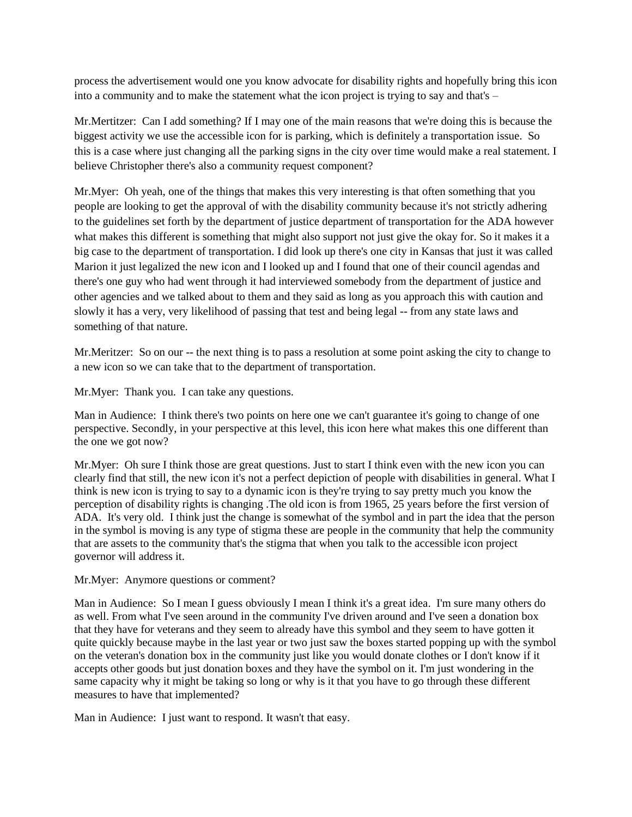process the advertisement would one you know advocate for disability rights and hopefully bring this icon into a community and to make the statement what the icon project is trying to say and that's –

Mr.Mertitzer: Can I add something? If I may one of the main reasons that we're doing this is because the biggest activity we use the accessible icon for is parking, which is definitely a transportation issue. So this is a case where just changing all the parking signs in the city over time would make a real statement. I believe Christopher there's also a community request component?

Mr.Myer: Oh yeah, one of the things that makes this very interesting is that often something that you people are looking to get the approval of with the disability community because it's not strictly adhering to the guidelines set forth by the department of justice department of transportation for the ADA however what makes this different is something that might also support not just give the okay for. So it makes it a big case to the department of transportation. I did look up there's one city in Kansas that just it was called Marion it just legalized the new icon and I looked up and I found that one of their council agendas and there's one guy who had went through it had interviewed somebody from the department of justice and other agencies and we talked about to them and they said as long as you approach this with caution and slowly it has a very, very likelihood of passing that test and being legal -- from any state laws and something of that nature.

Mr.Meritzer: So on our -- the next thing is to pass a resolution at some point asking the city to change to a new icon so we can take that to the department of transportation.

Mr.Myer: Thank you. I can take any questions.

Man in Audience: I think there's two points on here one we can't guarantee it's going to change of one perspective. Secondly, in your perspective at this level, this icon here what makes this one different than the one we got now?

Mr.Myer: Oh sure I think those are great questions. Just to start I think even with the new icon you can clearly find that still, the new icon it's not a perfect depiction of people with disabilities in general. What I think is new icon is trying to say to a dynamic icon is they're trying to say pretty much you know the perception of disability rights is changing .The old icon is from 1965, 25 years before the first version of ADA. It's very old. I think just the change is somewhat of the symbol and in part the idea that the person in the symbol is moving is any type of stigma these are people in the community that help the community that are assets to the community that's the stigma that when you talk to the accessible icon project governor will address it.

#### Mr.Myer: Anymore questions or comment?

Man in Audience: So I mean I guess obviously I mean I think it's a great idea. I'm sure many others do as well. From what I've seen around in the community I've driven around and I've seen a donation box that they have for veterans and they seem to already have this symbol and they seem to have gotten it quite quickly because maybe in the last year or two just saw the boxes started popping up with the symbol on the veteran's donation box in the community just like you would donate clothes or I don't know if it accepts other goods but just donation boxes and they have the symbol on it. I'm just wondering in the same capacity why it might be taking so long or why is it that you have to go through these different measures to have that implemented?

Man in Audience: I just want to respond. It wasn't that easy.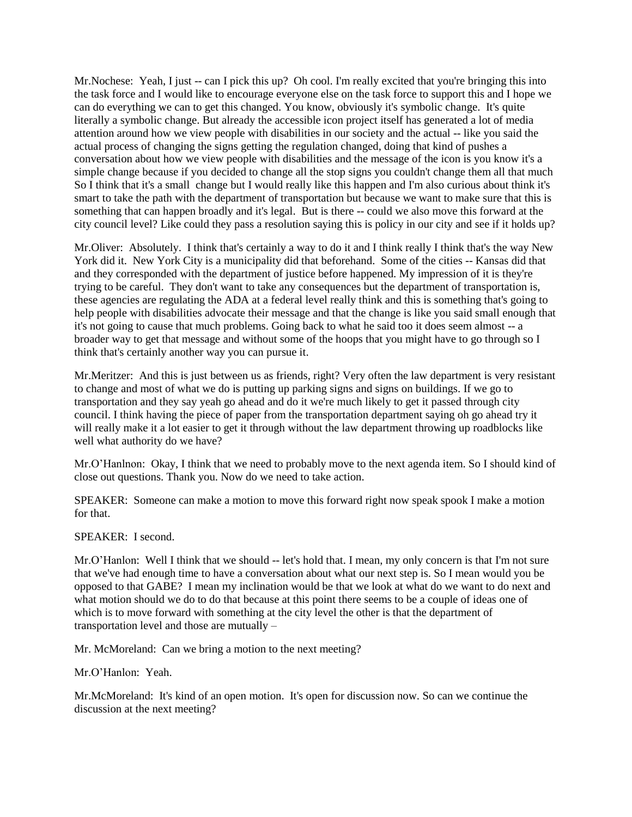Mr. Nochese: Yeah, I just -- can I pick this up? Oh cool. I'm really excited that you're bringing this into the task force and I would like to encourage everyone else on the task force to support this and I hope we can do everything we can to get this changed. You know, obviously it's symbolic change. It's quite literally a symbolic change. But already the accessible icon project itself has generated a lot of media attention around how we view people with disabilities in our society and the actual -- like you said the actual process of changing the signs getting the regulation changed, doing that kind of pushes a conversation about how we view people with disabilities and the message of the icon is you know it's a simple change because if you decided to change all the stop signs you couldn't change them all that much So I think that it's a small change but I would really like this happen and I'm also curious about think it's smart to take the path with the department of transportation but because we want to make sure that this is something that can happen broadly and it's legal. But is there -- could we also move this forward at the city council level? Like could they pass a resolution saying this is policy in our city and see if it holds up?

Mr.Oliver: Absolutely. I think that's certainly a way to do it and I think really I think that's the way New York did it. New York City is a municipality did that beforehand. Some of the cities -- Kansas did that and they corresponded with the department of justice before happened. My impression of it is they're trying to be careful. They don't want to take any consequences but the department of transportation is, these agencies are regulating the ADA at a federal level really think and this is something that's going to help people with disabilities advocate their message and that the change is like you said small enough that it's not going to cause that much problems. Going back to what he said too it does seem almost -- a broader way to get that message and without some of the hoops that you might have to go through so I think that's certainly another way you can pursue it.

Mr.Meritzer: And this is just between us as friends, right? Very often the law department is very resistant to change and most of what we do is putting up parking signs and signs on buildings. If we go to transportation and they say yeah go ahead and do it we're much likely to get it passed through city council. I think having the piece of paper from the transportation department saying oh go ahead try it will really make it a lot easier to get it through without the law department throwing up roadblocks like well what authority do we have?

Mr.O'Hanlnon: Okay, I think that we need to probably move to the next agenda item. So I should kind of close out questions. Thank you. Now do we need to take action.

SPEAKER: Someone can make a motion to move this forward right now speak spook I make a motion for that.

SPEAKER: I second.

Mr.O'Hanlon: Well I think that we should -- let's hold that. I mean, my only concern is that I'm not sure that we've had enough time to have a conversation about what our next step is. So I mean would you be opposed to that GABE? I mean my inclination would be that we look at what do we want to do next and what motion should we do to do that because at this point there seems to be a couple of ideas one of which is to move forward with something at the city level the other is that the department of transportation level and those are mutually –

Mr. McMoreland: Can we bring a motion to the next meeting?

Mr.O'Hanlon: Yeah.

Mr.McMoreland: It's kind of an open motion. It's open for discussion now. So can we continue the discussion at the next meeting?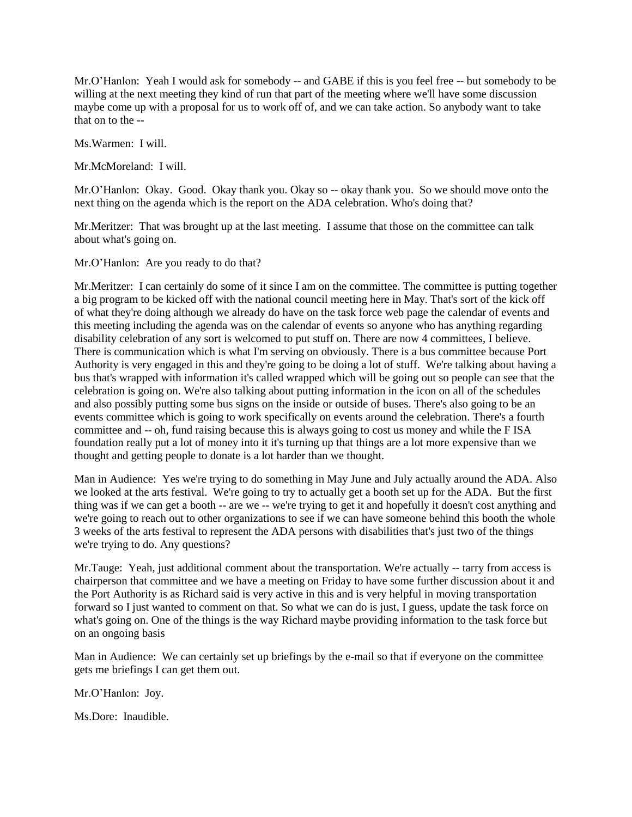Mr.O'Hanlon: Yeah I would ask for somebody -- and GABE if this is you feel free -- but somebody to be willing at the next meeting they kind of run that part of the meeting where we'll have some discussion maybe come up with a proposal for us to work off of, and we can take action. So anybody want to take that on to the --

Ms.Warmen: I will.

Mr.McMoreland: I will.

Mr.O'Hanlon: Okay. Good. Okay thank you. Okay so -- okay thank you. So we should move onto the next thing on the agenda which is the report on the ADA celebration. Who's doing that?

Mr.Meritzer: That was brought up at the last meeting. I assume that those on the committee can talk about what's going on.

Mr.O'Hanlon: Are you ready to do that?

Mr.Meritzer: I can certainly do some of it since I am on the committee. The committee is putting together a big program to be kicked off with the national council meeting here in May. That's sort of the kick off of what they're doing although we already do have on the task force web page the calendar of events and this meeting including the agenda was on the calendar of events so anyone who has anything regarding disability celebration of any sort is welcomed to put stuff on. There are now 4 committees, I believe. There is communication which is what I'm serving on obviously. There is a bus committee because Port Authority is very engaged in this and they're going to be doing a lot of stuff. We're talking about having a bus that's wrapped with information it's called wrapped which will be going out so people can see that the celebration is going on. We're also talking about putting information in the icon on all of the schedules and also possibly putting some bus signs on the inside or outside of buses. There's also going to be an events committee which is going to work specifically on events around the celebration. There's a fourth committee and -- oh, fund raising because this is always going to cost us money and while the F ISA foundation really put a lot of money into it it's turning up that things are a lot more expensive than we thought and getting people to donate is a lot harder than we thought.

Man in Audience: Yes we're trying to do something in May June and July actually around the ADA. Also we looked at the arts festival. We're going to try to actually get a booth set up for the ADA. But the first thing was if we can get a booth -- are we -- we're trying to get it and hopefully it doesn't cost anything and we're going to reach out to other organizations to see if we can have someone behind this booth the whole 3 weeks of the arts festival to represent the ADA persons with disabilities that's just two of the things we're trying to do. Any questions?

Mr.Tauge: Yeah, just additional comment about the transportation. We're actually -- tarry from access is chairperson that committee and we have a meeting on Friday to have some further discussion about it and the Port Authority is as Richard said is very active in this and is very helpful in moving transportation forward so I just wanted to comment on that. So what we can do is just, I guess, update the task force on what's going on. One of the things is the way Richard maybe providing information to the task force but on an ongoing basis

Man in Audience: We can certainly set up briefings by the e-mail so that if everyone on the committee gets me briefings I can get them out.

Mr.O'Hanlon: Joy.

Ms.Dore: Inaudible.